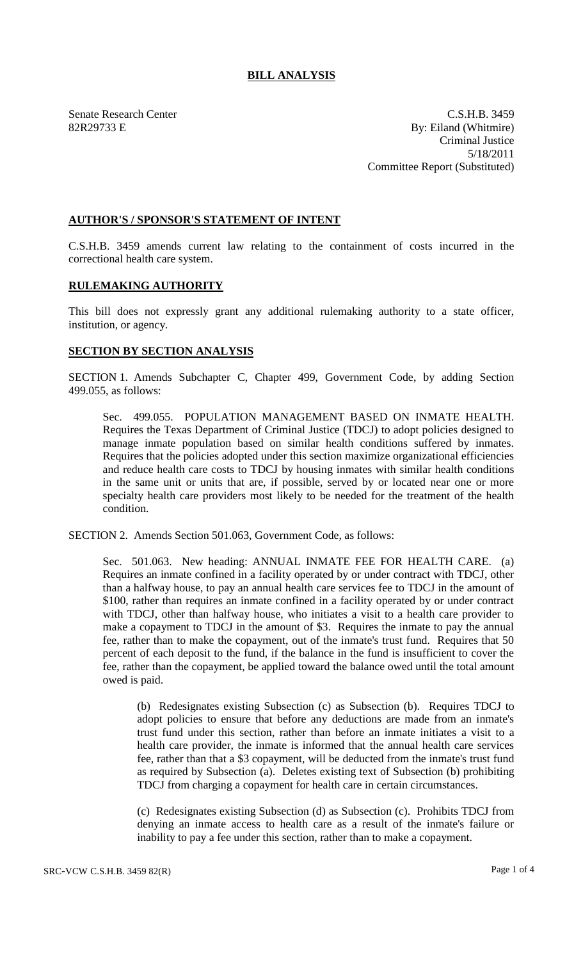## **BILL ANALYSIS**

Senate Research Center C.S.H.B. 3459 82R29733 E By: Eiland (Whitmire) Criminal Justice 5/18/2011 Committee Report (Substituted)

## **AUTHOR'S / SPONSOR'S STATEMENT OF INTENT**

C.S.H.B. 3459 amends current law relating to the containment of costs incurred in the correctional health care system.

## **RULEMAKING AUTHORITY**

This bill does not expressly grant any additional rulemaking authority to a state officer, institution, or agency.

## **SECTION BY SECTION ANALYSIS**

SECTION 1. Amends Subchapter C, Chapter 499, Government Code, by adding Section 499.055, as follows:

Sec. 499.055. POPULATION MANAGEMENT BASED ON INMATE HEALTH. Requires the Texas Department of Criminal Justice (TDCJ) to adopt policies designed to manage inmate population based on similar health conditions suffered by inmates. Requires that the policies adopted under this section maximize organizational efficiencies and reduce health care costs to TDCJ by housing inmates with similar health conditions in the same unit or units that are, if possible, served by or located near one or more specialty health care providers most likely to be needed for the treatment of the health condition.

SECTION 2. Amends Section 501.063, Government Code, as follows:

Sec. 501.063. New heading: ANNUAL INMATE FEE FOR HEALTH CARE. (a) Requires an inmate confined in a facility operated by or under contract with TDCJ, other than a halfway house, to pay an annual health care services fee to TDCJ in the amount of \$100, rather than requires an inmate confined in a facility operated by or under contract with TDCJ, other than halfway house, who initiates a visit to a health care provider to make a copayment to TDCJ in the amount of \$3. Requires the inmate to pay the annual fee, rather than to make the copayment, out of the inmate's trust fund. Requires that 50 percent of each deposit to the fund, if the balance in the fund is insufficient to cover the fee, rather than the copayment, be applied toward the balance owed until the total amount owed is paid.

(b) Redesignates existing Subsection (c) as Subsection (b). Requires TDCJ to adopt policies to ensure that before any deductions are made from an inmate's trust fund under this section, rather than before an inmate initiates a visit to a health care provider, the inmate is informed that the annual health care services fee, rather than that a \$3 copayment, will be deducted from the inmate's trust fund as required by Subsection (a). Deletes existing text of Subsection (b) prohibiting TDCJ from charging a copayment for health care in certain circumstances.

(c) Redesignates existing Subsection (d) as Subsection (c). Prohibits TDCJ from denying an inmate access to health care as a result of the inmate's failure or inability to pay a fee under this section, rather than to make a copayment.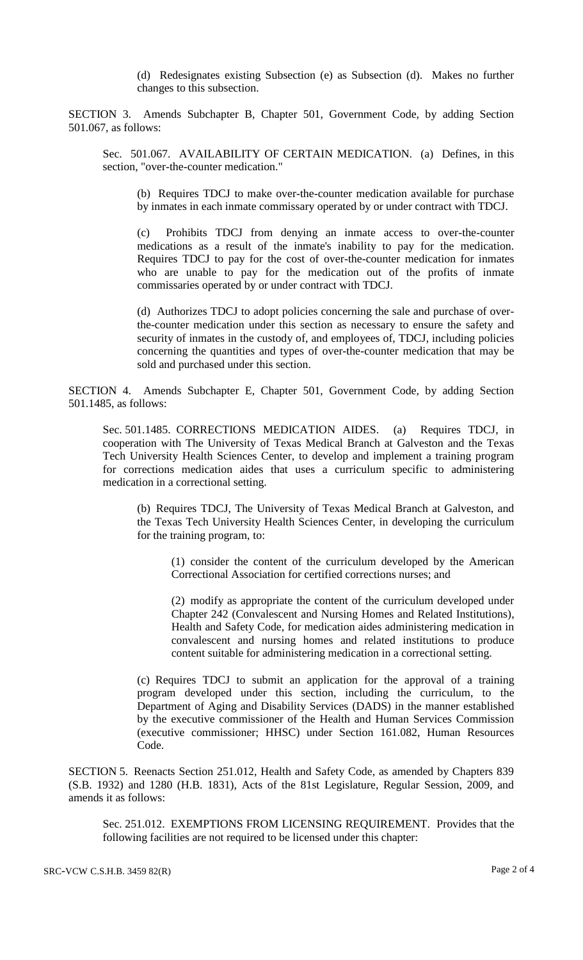(d) Redesignates existing Subsection (e) as Subsection (d). Makes no further changes to this subsection.

SECTION 3. Amends Subchapter B, Chapter 501, Government Code, by adding Section 501.067, as follows:

Sec. 501.067. AVAILABILITY OF CERTAIN MEDICATION. (a) Defines, in this section, "over-the-counter medication."

(b) Requires TDCJ to make over-the-counter medication available for purchase by inmates in each inmate commissary operated by or under contract with TDCJ.

(c) Prohibits TDCJ from denying an inmate access to over-the-counter medications as a result of the inmate's inability to pay for the medication. Requires TDCJ to pay for the cost of over-the-counter medication for inmates who are unable to pay for the medication out of the profits of inmate commissaries operated by or under contract with TDCJ.

(d) Authorizes TDCJ to adopt policies concerning the sale and purchase of overthe-counter medication under this section as necessary to ensure the safety and security of inmates in the custody of, and employees of, TDCJ, including policies concerning the quantities and types of over-the-counter medication that may be sold and purchased under this section.

SECTION 4. Amends Subchapter E, Chapter 501, Government Code, by adding Section 501.1485, as follows:

Sec. 501.1485. CORRECTIONS MEDICATION AIDES. (a) Requires TDCJ, in cooperation with The University of Texas Medical Branch at Galveston and the Texas Tech University Health Sciences Center, to develop and implement a training program for corrections medication aides that uses a curriculum specific to administering medication in a correctional setting.

(b) Requires TDCJ, The University of Texas Medical Branch at Galveston, and the Texas Tech University Health Sciences Center, in developing the curriculum for the training program, to:

(1) consider the content of the curriculum developed by the American Correctional Association for certified corrections nurses; and

(2) modify as appropriate the content of the curriculum developed under Chapter 242 (Convalescent and Nursing Homes and Related Institutions), Health and Safety Code, for medication aides administering medication in convalescent and nursing homes and related institutions to produce content suitable for administering medication in a correctional setting.

(c) Requires TDCJ to submit an application for the approval of a training program developed under this section, including the curriculum, to the Department of Aging and Disability Services (DADS) in the manner established by the executive commissioner of the Health and Human Services Commission (executive commissioner; HHSC) under Section 161.082, Human Resources Code.

SECTION 5. Reenacts Section 251.012, Health and Safety Code, as amended by Chapters 839 (S.B. 1932) and 1280 (H.B. 1831), Acts of the 81st Legislature, Regular Session, 2009, and amends it as follows:

Sec. 251.012. EXEMPTIONS FROM LICENSING REQUIREMENT. Provides that the following facilities are not required to be licensed under this chapter: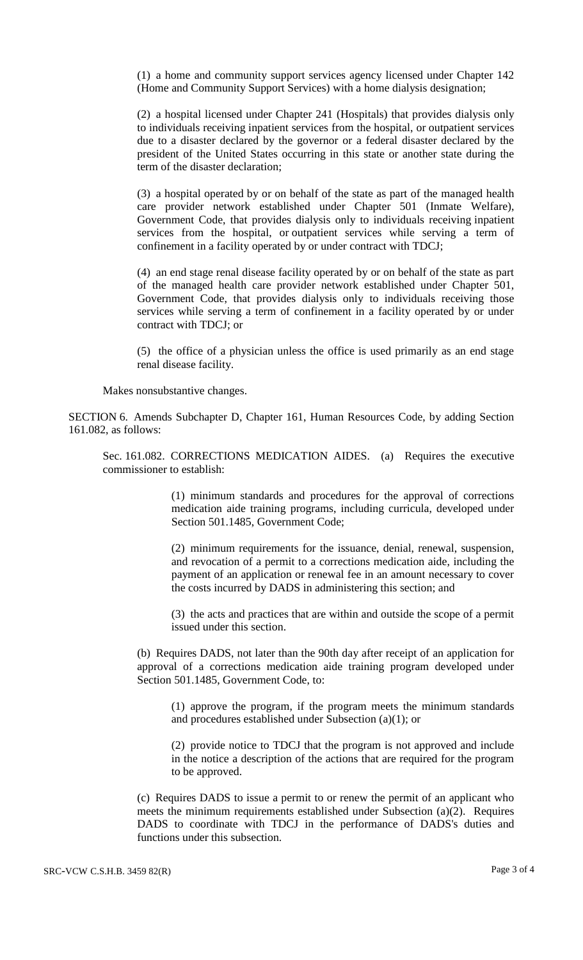(1) a home and community support services agency licensed under Chapter 142 (Home and Community Support Services) with a home dialysis designation;

(2) a hospital licensed under Chapter 241 (Hospitals) that provides dialysis only to individuals receiving inpatient services from the hospital, or outpatient services due to a disaster declared by the governor or a federal disaster declared by the president of the United States occurring in this state or another state during the term of the disaster declaration;

(3) a hospital operated by or on behalf of the state as part of the managed health care provider network established under Chapter 501 (Inmate Welfare), Government Code, that provides dialysis only to individuals receiving inpatient services from the hospital, or outpatient services while serving a term of confinement in a facility operated by or under contract with TDCJ;

(4) an end stage renal disease facility operated by or on behalf of the state as part of the managed health care provider network established under Chapter 501, Government Code, that provides dialysis only to individuals receiving those services while serving a term of confinement in a facility operated by or under contract with TDCJ; or

(5) the office of a physician unless the office is used primarily as an end stage renal disease facility.

Makes nonsubstantive changes.

SECTION 6. Amends Subchapter D, Chapter 161, Human Resources Code, by adding Section 161.082, as follows:

Sec. 161.082. CORRECTIONS MEDICATION AIDES. (a) Requires the executive commissioner to establish:

> (1) minimum standards and procedures for the approval of corrections medication aide training programs, including curricula, developed under Section 501.1485, Government Code;

> (2) minimum requirements for the issuance, denial, renewal, suspension, and revocation of a permit to a corrections medication aide, including the payment of an application or renewal fee in an amount necessary to cover the costs incurred by DADS in administering this section; and

> (3) the acts and practices that are within and outside the scope of a permit issued under this section.

(b) Requires DADS, not later than the 90th day after receipt of an application for approval of a corrections medication aide training program developed under Section 501.1485, Government Code, to:

(1) approve the program, if the program meets the minimum standards and procedures established under Subsection (a)(1); or

(2) provide notice to TDCJ that the program is not approved and include in the notice a description of the actions that are required for the program to be approved.

(c) Requires DADS to issue a permit to or renew the permit of an applicant who meets the minimum requirements established under Subsection (a)(2). Requires DADS to coordinate with TDCJ in the performance of DADS's duties and functions under this subsection.